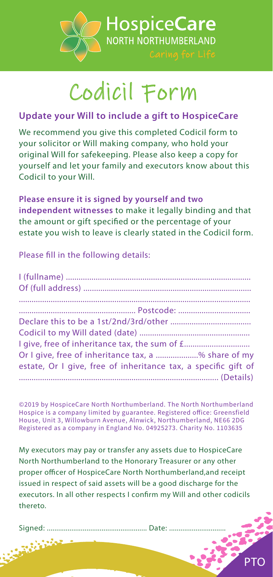

## Codicil Form

## **Update your Will to include a gift to HospiceCare**

We recommend you give this completed Codicil form to your solicitor or Will making company, who hold your original Will for safekeeping. Please also keep a copy for yourself and let your family and executors know about this Codicil to your Will.

**Please ensure it is signed by yourself and two independent witnesses** to make it legally binding and that the amount or gift specified or the percentage of your estate you wish to leave is clearly stated in the Codicil form.

Please fill in the following details:

| Or I give, free of inheritance tax, a % share of my            |
|----------------------------------------------------------------|
| estate, Or I give, free of inheritance tax, a specific gift of |
|                                                                |

©2019 by HospiceCare North Northumberland. The North Northumberland Hospice is a company limited by guarantee. Registered office: Greensfield House, Unit 3, Willowburn Avenue, Alnwick, Northumberland, NE66 2DG Registered as a company in England No. 04925273. Charity No. 1103635

My executors may pay or transfer any assets due to HospiceCare North Northumberland to the Honorary Treasurer or any other proper officer of HospiceCare North Northumberland, and receipt issued in respect of said assets will be a good discharge for the executors. In all other respects I confirm my Will and other codicils thereto.

Signed: ..................................................... Date: ..............................